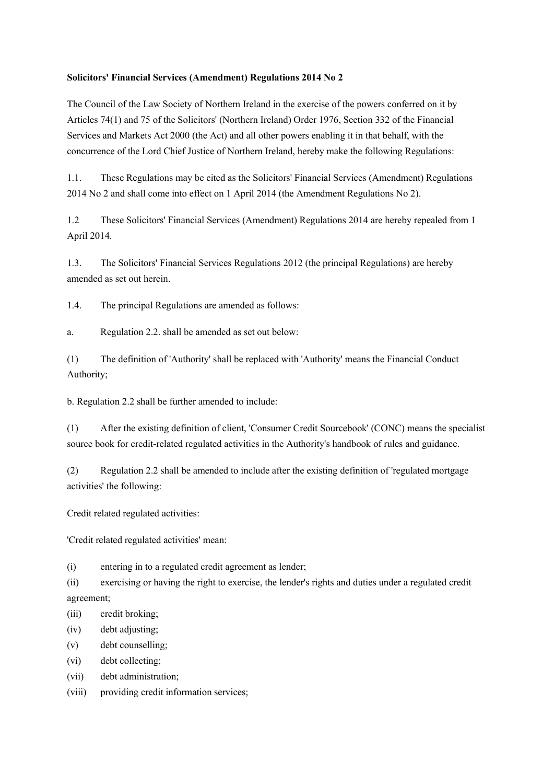## **Solicitors' Financial Services (Amendment) Regulations 2014 No 2**

The Council of the Law Society of Northern Ireland in the exercise of the powers conferred on it by Articles 74(1) and 75 of the Solicitors' (Northern Ireland) Order 1976, Section 332 of the Financial Services and Markets Act 2000 (the Act) and all other powers enabling it in that behalf, with the concurrence of the Lord Chief Justice of Northern Ireland, hereby make the following Regulations:

1.1. These Regulations may be cited as the Solicitors' Financial Services (Amendment) Regulations 2014 No 2 and shall come into effect on 1 April 2014 (the Amendment Regulations No 2).

1.2 These Solicitors' Financial Services (Amendment) Regulations 2014 are hereby repealed from 1 April 2014.

1.3. The Solicitors' Financial Services Regulations 2012 (the principal Regulations) are hereby amended as set out herein.

1.4. The principal Regulations are amended as follows:

a. Regulation 2.2. shall be amended as set out below:

(1) The definition of 'Authority' shall be replaced with 'Authority' means the Financial Conduct Authority;

b. Regulation 2.2 shall be further amended to include:

(1) After the existing definition of client, 'Consumer Credit Sourcebook' (CONC) means the specialist source book for credit-related regulated activities in the Authority's handbook of rules and guidance.

(2) Regulation 2.2 shall be amended to include after the existing definition of 'regulated mortgage activities' the following:

Credit related regulated activities:

'Credit related regulated activities' mean:

(i) entering in to a regulated credit agreement as lender;

(ii) exercising or having the right to exercise, the lender's rights and duties under a regulated credit agreement;

(iii) credit broking;

- (iv) debt adjusting;
- (v) debt counselling;

(vi) debt collecting;

(vii) debt administration;

(viii) providing credit information services;